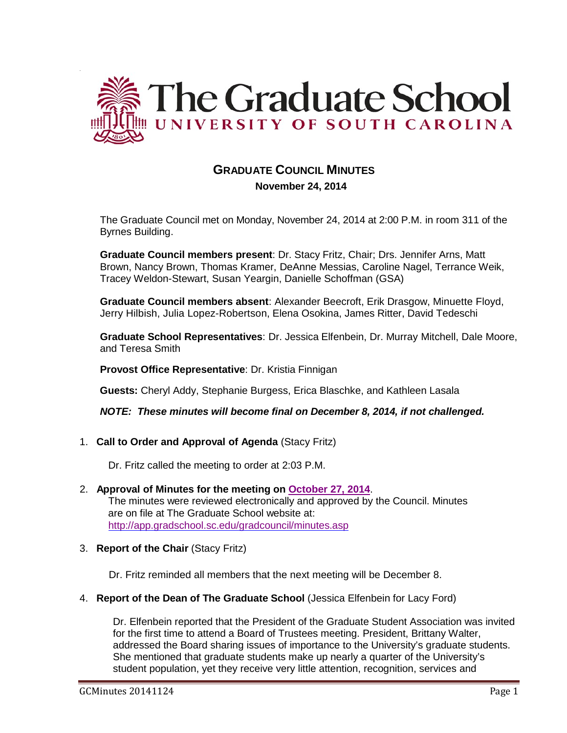

# **GRADUATE COUNCIL MINUTES**

 **November 24, 2014**

The Graduate Council met on Monday, November 24, 2014 at 2:00 P.M. in room 311 of the Byrnes Building.

**Graduate Council members present**: Dr. Stacy Fritz, Chair; Drs. Jennifer Arns, Matt Brown, Nancy Brown, Thomas Kramer, DeAnne Messias, Caroline Nagel, Terrance Weik, Tracey Weldon-Stewart, Susan Yeargin, Danielle Schoffman (GSA)

**Graduate Council members absent**: Alexander Beecroft, Erik Drasgow, Minuette Floyd, Jerry Hilbish, Julia Lopez-Robertson, Elena Osokina, James Ritter, David Tedeschi

**Graduate School Representatives**: Dr. Jessica Elfenbein, Dr. Murray Mitchell, Dale Moore, and Teresa Smith

**Provost Office Representative**: Dr. Kristia Finnigan

**Guests:** Cheryl Addy, Stephanie Burgess, Erica Blaschke, and Kathleen Lasala

*NOTE: These minutes will become final on December 8, 2014, if not challenged.*

1. **Call to Order and Approval of Agenda** (Stacy Fritz)

Dr. Fritz called the meeting to order at 2:03 P.M.

- 2. **Approval of Minutes for the meeting on October 27, 2014**. The minutes were reviewed electronically and approved by the Council. Minutes are on file at The Graduate School website at: <http://app.gradschool.sc.edu/gradcouncil/minutes.asp>
- 3. **Report of the Chair** (Stacy Fritz)

Dr. Fritz reminded all members that the next meeting will be December 8.

4. **Report of the Dean of The Graduate School** (Jessica Elfenbein for Lacy Ford)

Dr. Elfenbein reported that the President of the Graduate Student Association was invited for the first time to attend a Board of Trustees meeting. President, Brittany Walter, addressed the Board sharing issues of importance to the University's graduate students. She mentioned that graduate students make up nearly a quarter of the University's student population, yet they receive very little attention, recognition, services and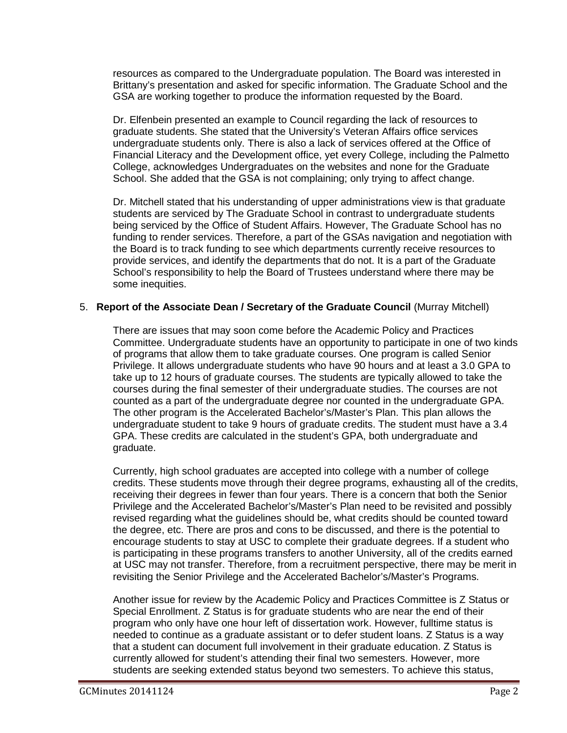resources as compared to the Undergraduate population. The Board was interested in Brittany's presentation and asked for specific information. The Graduate School and the GSA are working together to produce the information requested by the Board.

Dr. Elfenbein presented an example to Council regarding the lack of resources to graduate students. She stated that the University's Veteran Affairs office services undergraduate students only. There is also a lack of services offered at the Office of Financial Literacy and the Development office, yet every College, including the Palmetto College, acknowledges Undergraduates on the websites and none for the Graduate School. She added that the GSA is not complaining; only trying to affect change.

Dr. Mitchell stated that his understanding of upper administrations view is that graduate students are serviced by The Graduate School in contrast to undergraduate students being serviced by the Office of Student Affairs. However, The Graduate School has no funding to render services. Therefore, a part of the GSAs navigation and negotiation with the Board is to track funding to see which departments currently receive resources to provide services, and identify the departments that do not. It is a part of the Graduate School's responsibility to help the Board of Trustees understand where there may be some inequities.

# 5. **Report of the Associate Dean / Secretary of the Graduate Council** (Murray Mitchell)

There are issues that may soon come before the Academic Policy and Practices Committee. Undergraduate students have an opportunity to participate in one of two kinds of programs that allow them to take graduate courses. One program is called Senior Privilege. It allows undergraduate students who have 90 hours and at least a 3.0 GPA to take up to 12 hours of graduate courses. The students are typically allowed to take the courses during the final semester of their undergraduate studies. The courses are not counted as a part of the undergraduate degree nor counted in the undergraduate GPA. The other program is the Accelerated Bachelor's/Master's Plan. This plan allows the undergraduate student to take 9 hours of graduate credits. The student must have a 3.4 GPA. These credits are calculated in the student's GPA, both undergraduate and graduate.

Currently, high school graduates are accepted into college with a number of college credits. These students move through their degree programs, exhausting all of the credits, receiving their degrees in fewer than four years. There is a concern that both the Senior Privilege and the Accelerated Bachelor's/Master's Plan need to be revisited and possibly revised regarding what the guidelines should be, what credits should be counted toward the degree, etc. There are pros and cons to be discussed, and there is the potential to encourage students to stay at USC to complete their graduate degrees. If a student who is participating in these programs transfers to another University, all of the credits earned at USC may not transfer. Therefore, from a recruitment perspective, there may be merit in revisiting the Senior Privilege and the Accelerated Bachelor's/Master's Programs.

Another issue for review by the Academic Policy and Practices Committee is Z Status or Special Enrollment. Z Status is for graduate students who are near the end of their program who only have one hour left of dissertation work. However, fulltime status is needed to continue as a graduate assistant or to defer student loans. Z Status is a way that a student can document full involvement in their graduate education. Z Status is currently allowed for student's attending their final two semesters. However, more students are seeking extended status beyond two semesters. To achieve this status,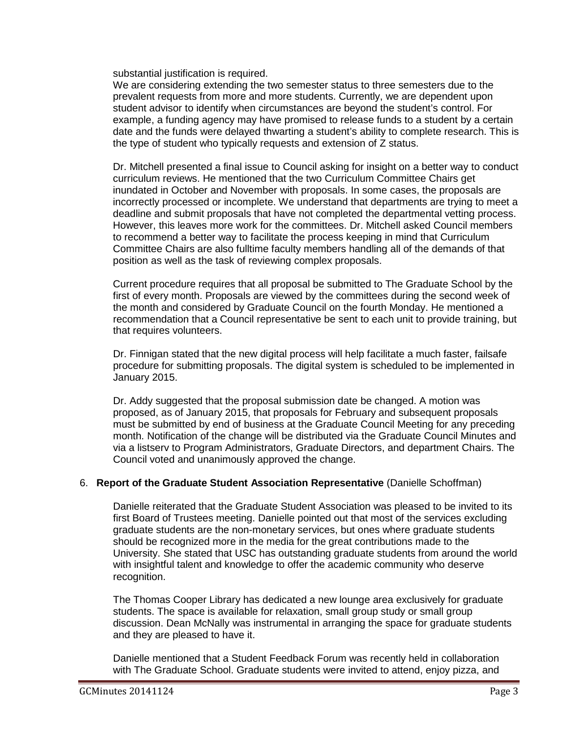substantial justification is required.

We are considering extending the two semester status to three semesters due to the prevalent requests from more and more students. Currently, we are dependent upon student advisor to identify when circumstances are beyond the student's control. For example, a funding agency may have promised to release funds to a student by a certain date and the funds were delayed thwarting a student's ability to complete research. This is the type of student who typically requests and extension of Z status.

Dr. Mitchell presented a final issue to Council asking for insight on a better way to conduct curriculum reviews. He mentioned that the two Curriculum Committee Chairs get inundated in October and November with proposals. In some cases, the proposals are incorrectly processed or incomplete. We understand that departments are trying to meet a deadline and submit proposals that have not completed the departmental vetting process. However, this leaves more work for the committees. Dr. Mitchell asked Council members to recommend a better way to facilitate the process keeping in mind that Curriculum Committee Chairs are also fulltime faculty members handling all of the demands of that position as well as the task of reviewing complex proposals.

Current procedure requires that all proposal be submitted to The Graduate School by the first of every month. Proposals are viewed by the committees during the second week of the month and considered by Graduate Council on the fourth Monday. He mentioned a recommendation that a Council representative be sent to each unit to provide training, but that requires volunteers.

Dr. Finnigan stated that the new digital process will help facilitate a much faster, failsafe procedure for submitting proposals. The digital system is scheduled to be implemented in January 2015.

Dr. Addy suggested that the proposal submission date be changed. A motion was proposed, as of January 2015, that proposals for February and subsequent proposals must be submitted by end of business at the Graduate Council Meeting for any preceding month. Notification of the change will be distributed via the Graduate Council Minutes and via a listserv to Program Administrators, Graduate Directors, and department Chairs. The Council voted and unanimously approved the change.

# 6. **Report of the Graduate Student Association Representative** (Danielle Schoffman)

Danielle reiterated that the Graduate Student Association was pleased to be invited to its first Board of Trustees meeting. Danielle pointed out that most of the services excluding graduate students are the non-monetary services, but ones where graduate students should be recognized more in the media for the great contributions made to the University. She stated that USC has outstanding graduate students from around the world with insightful talent and knowledge to offer the academic community who deserve recognition.

The Thomas Cooper Library has dedicated a new lounge area exclusively for graduate students. The space is available for relaxation, small group study or small group discussion. Dean McNally was instrumental in arranging the space for graduate students and they are pleased to have it.

Danielle mentioned that a Student Feedback Forum was recently held in collaboration with The Graduate School. Graduate students were invited to attend, enjoy pizza, and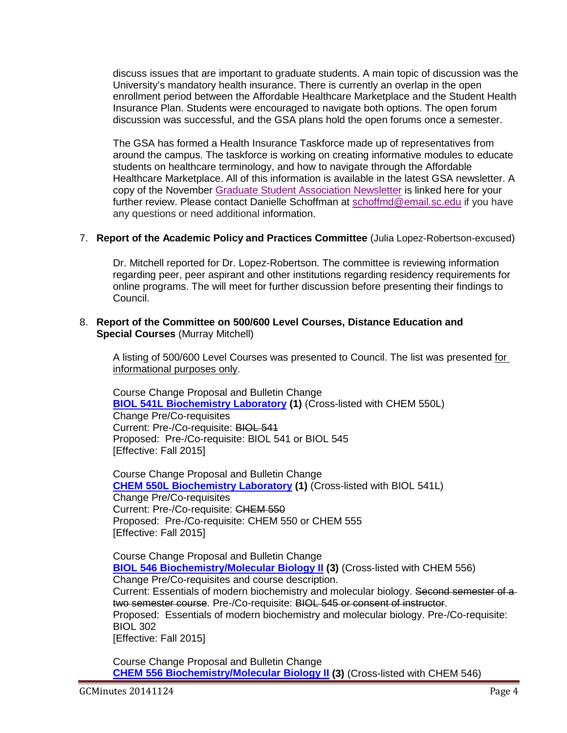discuss issues that are important to graduate students. A main topic of discussion was the University's mandatory health insurance. There is currently an overlap in the open enrollment period between the Affordable Healthcare Marketplace and the Student Health Insurance Plan. Students were encouraged to navigate both options. The open forum discussion was successful, and the GSA plans hold the open forums once a semester.

The GSA has formed a Health Insurance Taskforce made up of representatives from around the campus. The taskforce is working on creating informative modules to educate students on healthcare terminology, and how to navigate through the Affordable Healthcare Marketplace. All of this information is available in the latest GSA newsletter. A copy of the November [Graduate Student Association Newsletter](http://gradschool.sc.edu/facstaff/gradcouncil/2014/GSA%20Newsletter%20for%2011-24-14.pdf) is linked here for your further review. Please contact Danielle Schoffman at [schoffmd@email.sc.edu](mailto:schoffmd@email.sc.edu) if you have any questions or need additional information.

## 7. **Report of the Academic Policy and Practices Committee** (Julia Lopez-Robertson-excused)

Dr. Mitchell reported for Dr. Lopez-Robertson. The committee is reviewing information regarding peer, peer aspirant and other institutions regarding residency requirements for online programs. The will meet for further discussion before presenting their findings to Council.

## 8. **Report of the Committee on 500/600 Level Courses, Distance Education and Special Courses** (Murray Mitchell)

A listing of 500/600 Level Courses was presented to Council. The list was presented for informational purposes only.

Course Change Proposal and Bulletin Change **[BIOL 541L Biochemistry Laboratory](http://gradschool.sc.edu/facstaff/gradcouncil/2014/BIOL%20541L%20CCP_Redacted.pdf) (1)** (Cross-listed with CHEM 550L) Change Pre/Co-requisites Current: Pre-/Co-requisite: BIOL 541 Proposed: Pre-/Co-requisite: BIOL 541 or BIOL 545 [Effective: Fall 2015]

Course Change Proposal and Bulletin Change **[CHEM 550L Biochemistry Laboratory](http://gradschool.sc.edu/facstaff/gradcouncil/2014/CHEM%20550L%20CCP_Redacted.pdf) (1)** (Cross-listed with BIOL 541L) Change Pre/Co-requisites Current: Pre-/Co-requisite: CHEM 550 Proposed: Pre-/Co-requisite: CHEM 550 or CHEM 555 [Effective: Fall 2015]

Course Change Proposal and Bulletin Change **[BIOL 546 Biochemistry/Molecular Biology II](http://gradschool.sc.edu/facstaff/gradcouncil/2014/BIOL%20546%20CCP_Redacted.pdf) (3)** (Cross-listed with CHEM 556) Change Pre/Co-requisites and course description. Current: Essentials of modern biochemistry and molecular biology. Second semester of a two semester course. Pre-/Co-requisite: BIOL 545 or consent of instructor. Proposed: Essentials of modern biochemistry and molecular biology. Pre-/Co-requisite: BIOL 302 [Effective: Fall 2015]

Course Change Proposal and Bulletin Change **[CHEM 556 Biochemistry/Molecular Biology II](http://gradschool.sc.edu/facstaff/gradcouncil/2014/CHEM%20556%20CCP_Redacted.pdf) (3)** (Cross-listed with CHEM 546)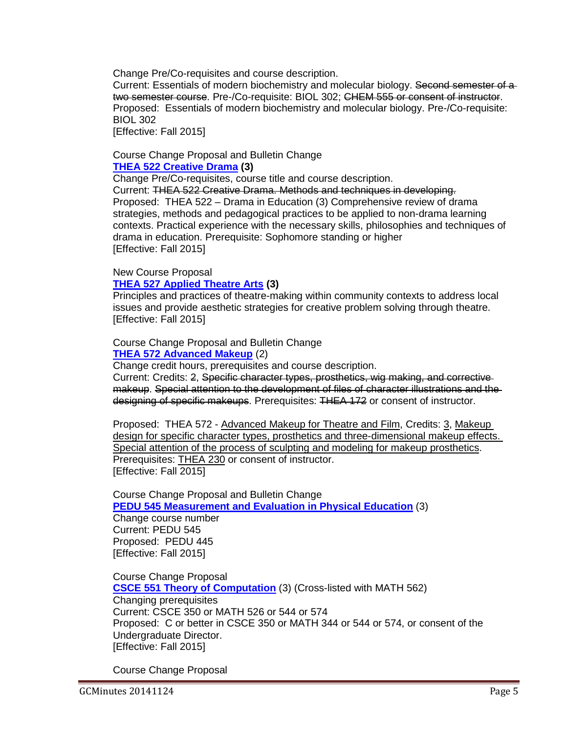Change Pre/Co-requisites and course description.

Current: Essentials of modern biochemistry and molecular biology. Second semester of a two semester course. Pre-/Co-requisite: BIOL 302; CHEM 555 or consent of instructor. Proposed: Essentials of modern biochemistry and molecular biology. Pre-/Co-requisite: BIOL 302

[Effective: Fall 2015]

### Course Change Proposal and Bulletin Change **[THEA 522 Creative Drama](http://gradschool.sc.edu/facstaff/gradcouncil/2014/THEA%20522%20CCP_Redacted.pdf) (3)**

Change Pre/Co-requisites, course title and course description.

Current: THEA 522 Creative Drama. Methods and techniques in developing. Proposed: THEA 522 – Drama in Education (3) Comprehensive review of drama strategies, methods and pedagogical practices to be applied to non-drama learning contexts. Practical experience with the necessary skills, philosophies and techniques of drama in education. Prerequisite: Sophomore standing or higher [Effective: Fall 2015]

## New Course Proposal

# **[THEA 527 Applied Theatre Arts](http://gradschool.sc.edu/facstaff/gradcouncil/2014/THEA%20527%20NCP_Redacted.pdf) (3)**

Principles and practices of theatre-making within community contexts to address local issues and provide aesthetic strategies for creative problem solving through theatre. [Effective: Fall 2015]

### Course Change Proposal and Bulletin Change **[THEA 572 Advanced Makeup](http://gradschool.sc.edu/facstaff/gradcouncil/2014/THEA%20572%20CCP_redacted.pdf)** (2)

Change credit hours, prerequisites and course description.

Current: Credits: 2, Specific character types, prosthetics, wig making, and corrective makeup. Special attention to the development of files of character illustrations and the designing of specific makeups. Prerequisites: THEA 172 or consent of instructor.

Proposed: THEA 572 - Advanced Makeup for Theatre and Film, Credits: 3, Makeup design for specific character types, prosthetics and three-dimensional makeup effects. Special attention of the process of sculpting and modeling for makeup prosthetics. Prerequisites: THEA 230 or consent of instructor. [Effective: Fall 2015]

Course Change Proposal and Bulletin Change **[PEDU 545 Measurement and Evaluation in Physical Education](http://gradschool.sc.edu/facstaff/gradcouncil/2014/PEDU%20545%20CCP_Redacted.pdf)** (3)

Change course number Current: PEDU 545 Proposed: PEDU 445 [Effective: Fall 2015]

Course Change Proposal **[CSCE 551 Theory of Computation](http://gradschool.sc.edu/facstaff/gradcouncil/2014/CSCE%20551%20CCP_Redacted.pdf)** (3) (Cross-listed with MATH 562) Changing prerequisites Current: CSCE 350 or MATH 526 or 544 or 574 Proposed: C or better in CSCE 350 or MATH 344 or 544 or 574, or consent of the Undergraduate Director. [Effective: Fall 2015]

Course Change Proposal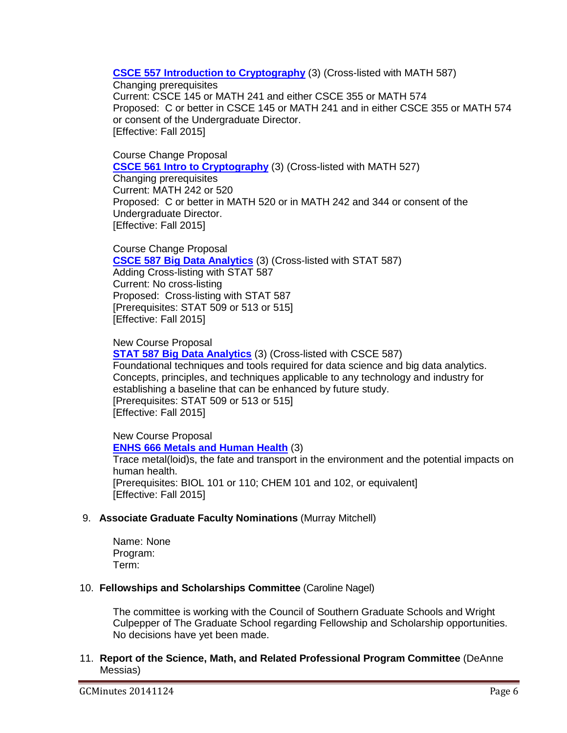**[CSCE 557 Introduction to Cryptography](http://gradschool.sc.edu/facstaff/gradcouncil/2014/CSCE%20557%20CCP_Redacted.pdf)** (3) (Cross-listed with MATH 587)

Changing prerequisites

Current: CSCE 145 or MATH 241 and either CSCE 355 or MATH 574 Proposed: C or better in CSCE 145 or MATH 241 and in either CSCE 355 or MATH 574 or consent of the Undergraduate Director. [Effective: Fall 2015]

Course Change Proposal **[CSCE 561 Intro to Cryptography](http://gradschool.sc.edu/facstaff/gradcouncil/2014/CSCE%20561%20CCP_Redacted.pdf)** (3) (Cross-listed with MATH 527)

Changing prerequisites Current: MATH 242 or 520 Proposed: C or better in MATH 520 or in MATH 242 and 344 or consent of the Undergraduate Director. [Effective: Fall 2015]

Course Change Proposal **[CSCE 587 Big Data Analytics](http://gradschool.sc.edu/facstaff/gradcouncil/2014/CSCE%20587%20CCP_Redacted.pdf)** (3) (Cross-listed with STAT 587) Adding Cross-listing with STAT 587 Current: No cross-listing Proposed: Cross-listing with STAT 587 [Prerequisites: STAT 509 or 513 or 515] [Effective: Fall 2015]

New Course Proposal **STAT 587 [Big Data Analytics](http://gradschool.sc.edu/facstaff/gradcouncil/2014/STAT%20587%20NCP_Redacted.pdf)** (3) (Cross-listed with CSCE 587) Foundational techniques and tools required for data science and big data analytics. Concepts, principles, and techniques applicable to any technology and industry for establishing a baseline that can be enhanced by future study. [Prerequisites: STAT 509 or 513 or 515] [Effective: Fall 2015]

New Course Proposal **[ENHS 666 Metals and Human Health](http://gradschool.sc.edu/facstaff/gradcouncil/2014/ENHS%20666%20NCP_Redacted.pdf)** (3) Trace metal(loid)s, the fate and transport in the environment and the potential impacts on human health. [Prerequisites: BIOL 101 or 110; CHEM 101 and 102, or equivalent] [Effective: Fall 2015]

# 9. **Associate Graduate Faculty Nominations** (Murray Mitchell)

Name: None Program: Term:

# 10. **Fellowships and Scholarships Committee** (Caroline Nagel)

The committee is working with the Council of Southern Graduate Schools and Wright Culpepper of The Graduate School regarding Fellowship and Scholarship opportunities. No decisions have yet been made.

11. **Report of the Science, Math, and Related Professional Program Committee** (DeAnne Messias)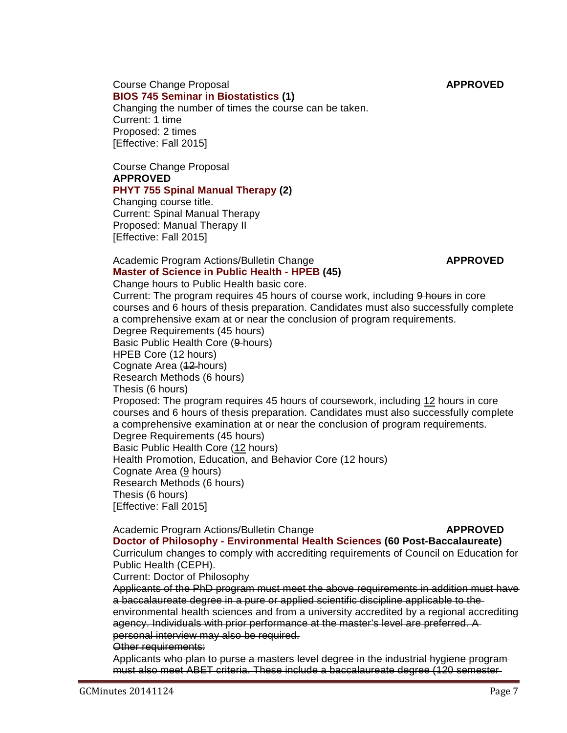Course Change Proposal **APPROVED [BIOS 745 Seminar in Biostatistics](http://gradschool.sc.edu/facstaff/gradcouncil/2014/BIOS%20745%20CCP.pdf) (1)** Changing the number of times the course can be taken. Current: 1 time Proposed: 2 times [Effective: Fall 2015]

Course Change Proposal **APPROVED**

## **[PHYT 755 Spinal Manual Therapy](http://gradschool.sc.edu/facstaff/gradcouncil/2014/PHYT%20755%20CCP.pdf) (2)**

Changing course title. Current: Spinal Manual Therapy Proposed: Manual Therapy II [Effective: Fall 2015]

# Academic Program Actions/Bulletin Change **APPROVED**

#### **[Master of Science in Public Health -](http://gradschool.sc.edu/facstaff/gradcouncil/2014/HPEB%20MSPH%20apa.pdf) HPEB (45)** Change hours to Public Health basic core.

Current: The program requires 45 hours of course work, including 9 hours in core courses and 6 hours of thesis preparation. Candidates must also successfully complete a comprehensive exam at or near the conclusion of program requirements. Degree Requirements (45 hours) Basic Public Health Core (9 hours) HPEB Core (12 hours) Cognate Area (12 hours) Research Methods (6 hours) Thesis (6 hours) Proposed: The program requires 45 hours of coursework, including 12 hours in core courses and 6 hours of thesis preparation. Candidates must also successfully complete a comprehensive examination at or near the conclusion of program requirements. Degree Requirements (45 hours) Basic Public Health Core (12 hours) Health Promotion, Education, and Behavior Core (12 hours) Cognate Area (9 hours) Research Methods (6 hours) Thesis (6 hours) [Effective: Fall 2015]

# Academic Program Actions/Bulletin Change **APPROVED**

**Doctor of Philosophy - [Environmental Health Sciences](http://gradschool.sc.edu/facstaff/gradcouncil/2014/ENHS%20PhD%20APA%2011-3-2014.pdf) (60 Post-Baccalaureate)** Curriculum changes to comply with accrediting requirements of Council on Education for Public Health (CEPH).

Current: Doctor of Philosophy

Applicants of the PhD program must meet the above requirements in addition must have a baccalaureate degree in a pure or applied scientific discipline applicable to the environmental health sciences and from a university accredited by a regional accrediting agency. Individuals with prior performance at the master's level are preferred. A personal interview may also be required.

Other requirements:

Applicants who plan to purse a masters level degree in the industrial hygiene program must also meet ABET criteria. These include a baccalaureate degree (120 semester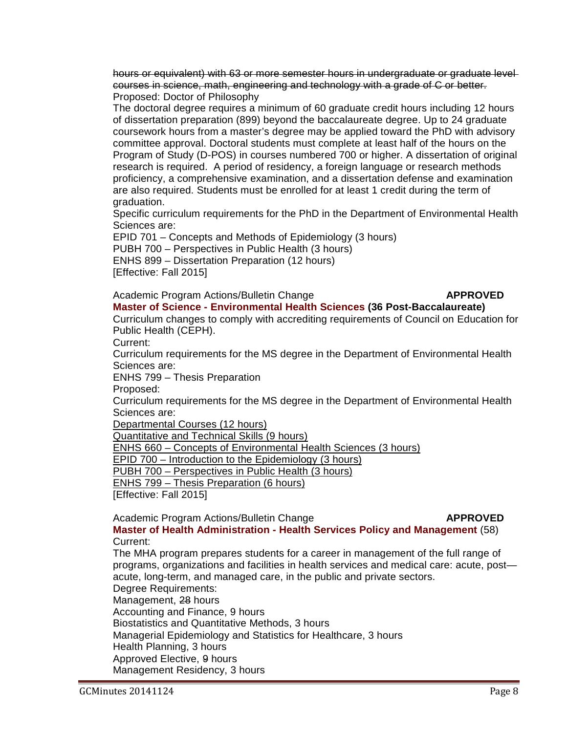hours or equivalent) with 63 or more semester hours in undergraduate or graduate level courses in science, math, engineering and technology with a grade of C or better. Proposed: Doctor of Philosophy

The doctoral degree requires a minimum of 60 graduate credit hours including 12 hours of dissertation preparation (899) beyond the baccalaureate degree. Up to 24 graduate coursework hours from a master's degree may be applied toward the PhD with advisory committee approval. Doctoral students must complete at least half of the hours on the Program of Study (D-POS) in courses numbered 700 or higher. A dissertation of original research is required. A period of residency, a foreign language or research methods proficiency, a comprehensive examination, and a dissertation defense and examination are also required. Students must be enrolled for at least 1 credit during the term of graduation.

Specific curriculum requirements for the PhD in the Department of Environmental Health Sciences are:

EPID 701 – Concepts and Methods of Epidemiology (3 hours) PUBH 700 – Perspectives in Public Health (3 hours) ENHS 899 – Dissertation Preparation (12 hours) [Effective: Fall 2015]

Academic Program Actions/Bulletin Change **APPROVED** 

# **Master of Science - [Environmental Health Sciences](http://gradschool.sc.edu/facstaff/gradcouncil/2014/ENHS%20MS%20APA%2011-3-2014.pdf) (36 Post-Baccalaureate)**

Curriculum changes to comply with accrediting requirements of Council on Education for Public Health (CEPH).

Current:

Curriculum requirements for the MS degree in the Department of Environmental Health Sciences are:

ENHS 799 – Thesis Preparation

Proposed:

Curriculum requirements for the MS degree in the Department of Environmental Health Sciences are:

Departmental Courses (12 hours)

Quantitative and Technical Skills (9 hours)

ENHS 660 – Concepts of Environmental Health Sciences (3 hours)

EPID 700 – Introduction to the Epidemiology (3 hours)

PUBH 700 – Perspectives in Public Health (3 hours)

ENHS 799 – Thesis Preparation (6 hours)

[Effective: Fall 2015]

### Academic Program Actions/Bulletin Change **APPROVED**

**Master of Health Administration - [Health Services Policy and Management](http://gradschool.sc.edu/facstaff/gradcouncil/2014/HSPM%20MHA%20(11-3-2014)%20ASPH.pdf)** (58) Current:

The MHA program prepares students for a career in management of the full range of programs, organizations and facilities in health services and medical care: acute, post acute, long-term, and managed care, in the public and private sectors. Degree Requirements: Management, 28 hours Accounting and Finance, 9 hours Biostatistics and Quantitative Methods, 3 hours Managerial Epidemiology and Statistics for Healthcare, 3 hours Health Planning, 3 hours Approved Elective, 9 hours Management Residency, 3 hours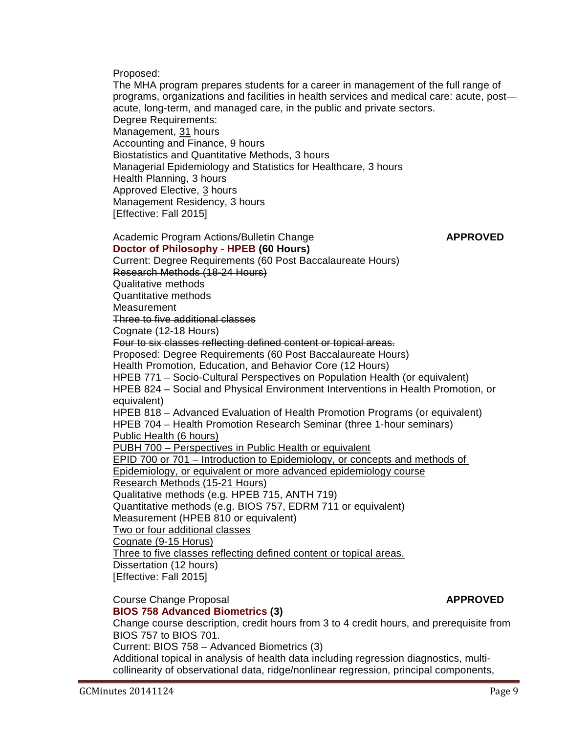Proposed:

The MHA program prepares students for a career in management of the full range of programs, organizations and facilities in health services and medical care: acute, post acute, long-term, and managed care, in the public and private sectors. Degree Requirements: Management, 31 hours Accounting and Finance, 9 hours Biostatistics and Quantitative Methods, 3 hours Managerial Epidemiology and Statistics for Healthcare, 3 hours Health Planning, 3 hours Approved Elective, 3 hours Management Residency, 3 hours [Effective: Fall 2015]

#### Academic Program Actions/Bulletin Change **APPROVED [Doctor of Philosophy -](http://gradschool.sc.edu/facstaff/gradcouncil/2014/HPEB%20PhD%20APA%2011-3-2014.pdf) HPEB (60 Hours)**

Current: Degree Requirements (60 Post Baccalaureate Hours) Research Methods (18-24 Hours) Qualitative methods Quantitative methods **Measurement** Three to five additional classes Cognate (12-18 Hours) Four to six classes reflecting defined content or topical areas. Proposed: Degree Requirements (60 Post Baccalaureate Hours) Health Promotion, Education, and Behavior Core (12 Hours) HPEB 771 – Socio-Cultural Perspectives on Population Health (or equivalent) HPEB 824 – Social and Physical Environment Interventions in Health Promotion, or equivalent) HPEB 818 – Advanced Evaluation of Health Promotion Programs (or equivalent) HPEB 704 – Health Promotion Research Seminar (three 1-hour seminars) Public Health (6 hours) PUBH 700 – Perspectives in Public Health or equivalent EPID 700 or 701 – Introduction to Epidemiology, or concepts and methods of Epidemiology, or equivalent or more advanced epidemiology course Research Methods (15-21 Hours) Qualitative methods (e.g. HPEB 715, ANTH 719) Quantitative methods (e.g. BIOS 757, EDRM 711 or equivalent) Measurement (HPEB 810 or equivalent) Two or four additional classes Cognate (9-15 Horus) Three to five classes reflecting defined content or topical areas. Dissertation (12 hours) [Effective: Fall 2015]

#### **Course Change Proposal** *APPROVED* **[BIOS 758 Advanced Biometrics](http://gradschool.sc.edu/facstaff/gradcouncil/2014/BIOS%20758%20CCP.pdf) (3)**

Change course description, credit hours from 3 to 4 credit hours, and prerequisite from BIOS 757 to BIOS 701.

Current: BIOS 758 – Advanced Biometrics (3)

Additional topical in analysis of health data including regression diagnostics, multicollinearity of observational data, ridge/nonlinear regression, principal components,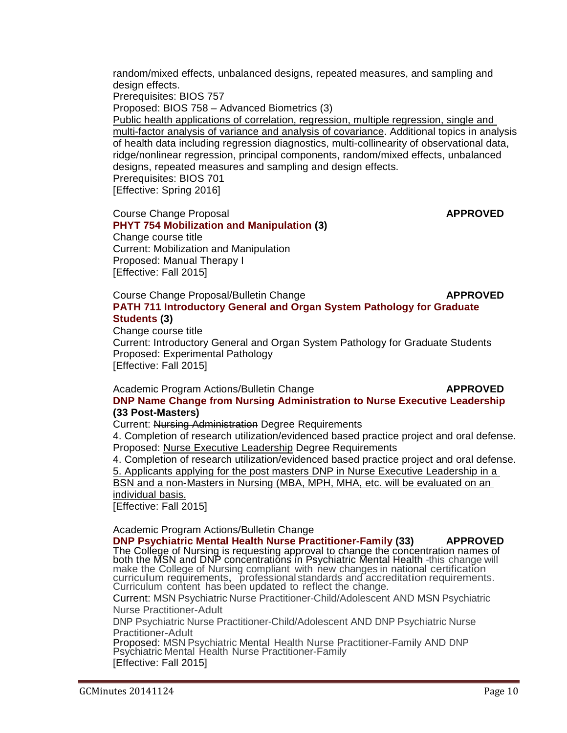random/mixed effects, unbalanced designs, repeated measures, and sampling and design effects.

Prerequisites: BIOS 757

Proposed: BIOS 758 – Advanced Biometrics (3)

Public health applications of correlation, regression, multiple regression, single and multi-factor analysis of variance and analysis of covariance. Additional topics in analysis of health data including regression diagnostics, multi-collinearity of observational data, ridge/nonlinear regression, principal components, random/mixed effects, unbalanced designs, repeated measures and sampling and design effects. Prerequisites: BIOS 701 [Effective: Spring 2016]

Course Change Proposal **APPROVED** 

**[PHYT 754 Mobilization and Manipulation](http://gradschool.sc.edu/facstaff/gradcouncil/2014/PHYT%20754%20CCP.pdf) (3)** Change course title Current: Mobilization and Manipulation Proposed: Manual Therapy I [Effective: Fall 2015]

Course Change Proposal/Bulletin Change **APPROVED [PATH 711 Introductory General and Organ System Pathology for Graduate](http://gradschool.sc.edu/facstaff/gradcouncil/2014/PATH%20711_Redacted.pdf)  [Students](http://gradschool.sc.edu/facstaff/gradcouncil/2014/PATH%20711_Redacted.pdf) (3)**

Change course title Current: Introductory General and Organ System Pathology for Graduate Students Proposed: Experimental Pathology [Effective: Fall 2015]

#### Academic Program Actions/Bulletin Change **APPROVED [DNP Name Change from Nursing Administration to Nurse Executive Leadership](http://gradschool.sc.edu/facstaff/gradcouncil/2014/DNP%20PhD%2033%20post%20masters%20name%20change%20to%20nurse%20executive%20%20APA.pdf) (33 Post-Masters)**

Current: Nursing Administration Degree Requirements

4. Completion of research utilization/evidenced based practice project and oral defense. Proposed: Nurse Executive Leadership Degree Requirements

4. Completion of research utilization/evidenced based practice project and oral defense. 5. Applicants applying for the post masters DNP in Nurse Executive Leadership in a

BSN and a non-Masters in Nursing (MBA, MPH, MHA, etc. will be evaluated on an individual basis.

[Effective: Fall 2015]

Academic Program Actions/Bulletin Change

**[DNP Psychiatric Mental Health Nurse Practitioner-Family](http://gradschool.sc.edu/facstaff/gradcouncil/2014/DNP%20Psych%20MH%20NP-Family%20APA.pdf) (33) APPROVED** The College of Nursing is requesting approval to change the concentration names of<br>both the MSN and DNP concentrations in Psychiatric Mental Health -this change will make the College of Nursing compliant with new changes in national certification curriculum requirements, professional standards and accreditation requirements. Curriculum content has been updated to reflect the change.

Current: MSN Psychiatric Nurse Practitioner-Child/Adolescent AND MSN Psychiatric Nurse Practitioner-Adult

DNP Psychiatric Nurse Practitioner-Child/Adolescent AND DNP Psychiatric Nurse Practitioner-Adult

Proposed: MSN Psychiatric Mental Health Nurse Practitioner-Family AND DNP Psychiatric Mental Health Nurse Practitioner-Family [Effective: Fall 2015]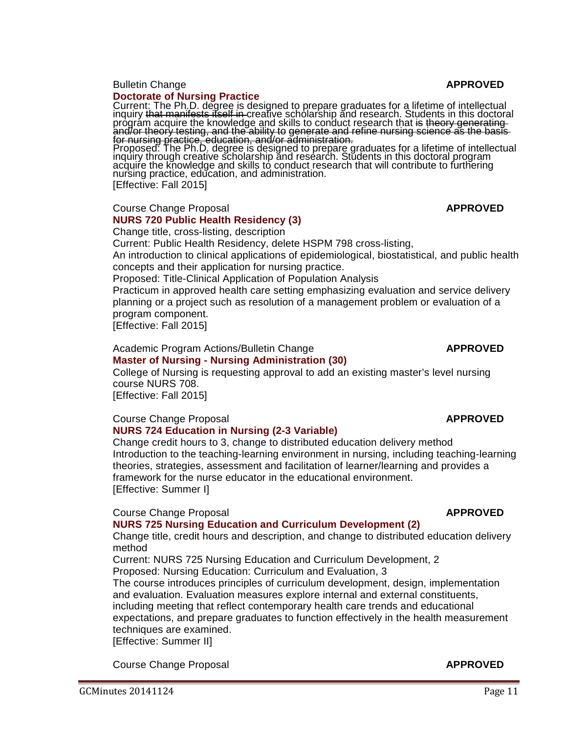#### **Bulletin Change <b>APPROVED APPROVED**

#### **[Doctorate of Nursing Practice](http://gradschool.sc.edu/facstaff/gradcouncil/2014/Doctorate%20of%20Nursing%20Practice%20BCH.pdf)**

Current: The Ph.D. degree is designed to prepare graduates for a lifetime of intellectual inquiry that manifests itself in creative scholarship and research. Students in this doctoral program acquire the knowledge and skills to conduct research that <del>is theory generating</del> and/or theory testing, and the ability to generate and refine nursing science as the basis

for nursing practice, education, and/or administration.<br>Proposed: The Ph.D. degree is designed to prepare graduates for a lifetime of intellectual inquiry through creative scholarship and research. Students in this doctoral program acquire the knowledge and skills to conduct research that will contribute to furthering nursing practice, education, and administration. [Effective: Fall 2015]

#### Course Change Proposal **APPROVED [NURS 720 Public Health Residency](http://gradschool.sc.edu/facstaff/gradcouncil/2014/NURS%20720.pdf) (3)**

Change title, cross-listing, description

Current: Public Health Residency, delete HSPM 798 cross-listing, An introduction to clinical applications of epidemiological, biostatistical, and public health concepts and their application for nursing practice.

Proposed: Title-Clinical Application of Population Analysis

Practicum in approved health care setting emphasizing evaluation and service delivery planning or a project such as resolution of a management problem or evaluation of a program component.

[Effective: Fall 2015]

#### Academic Program Actions/Bulletin Change **APPROVED Master of Nursing - [Nursing Administration](http://gradschool.sc.edu/facstaff/gradcouncil/2014/Master%20of%20Nursing%20-%20Nursing%20Administration%20APA.pdf) (30)**

College of Nursing is requesting approval to add an existing master's level nursing course NURS 708. [Effective: Fall 2015]

# **Course Change Proposal** *APPROVED*

# **[NURS 724 Education in Nursing](http://gradschool.sc.edu/facstaff/gradcouncil/2014/NURS%20724%20CCP.pdf) (2-3 Variable)**

Change credit hours to 3, change to distributed education delivery method Introduction to the teaching-learning environment in nursing, including teaching-learning theories, strategies, assessment and facilitation of learner/learning and provides a framework for the nurse educator in the educational environment. [Effective: Summer I]

### **Course Change Proposal** *APPROVED*

### **[NURS 725 Nursing Education and Curriculum Development](http://gradschool.sc.edu/facstaff/gradcouncil/2014/NURS%20725%20CCP.pdf) (2)**

Change title, credit hours and description, and change to distributed education delivery method

Current: [NURS 725 Nursing Education and Curriculum Development,](http://gradschool.sc.edu/facstaff/gradcouncil/2014/NURS%20725%20CCP.pdf) 2 Proposed: Nursing Education: Curriculum and Evaluation, 3

The course introduces principles of curriculum development, design, implementation and evaluation. Evaluation measures explore internal and external constituents, including meeting that reflect contemporary health care trends and educational expectations, and prepare graduates to function effectively in the health measurement techniques are examined.

[Effective: Summer II]

**Course Change Proposal** *APPROVED*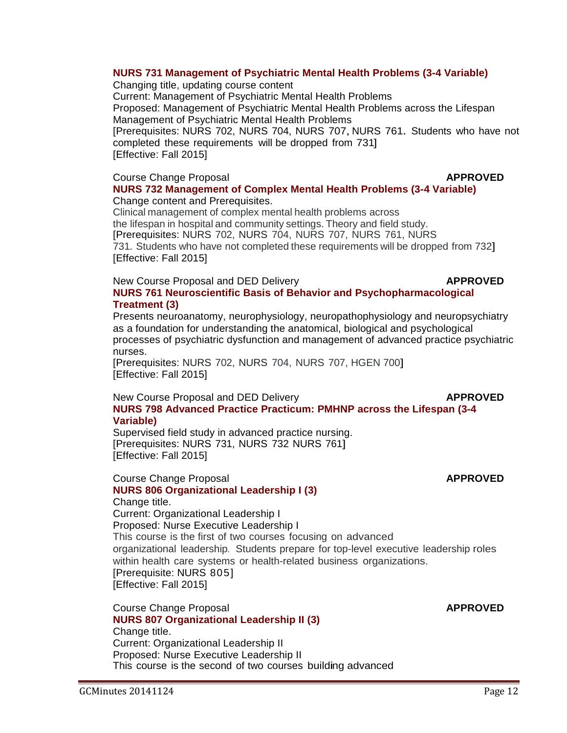# **[NURS 731 Management of Psychiatric Mental Health Problems](http://gradschool.sc.edu/facstaff/gradcouncil/2014/NURS%20731%20CCP.pdf) (3-4 Variable)**

Changing title, updating course content Current: Management of Psychiatric Mental Health Problems Proposed: Management of Psychiatric Mental Health Problems across the Lifespan Management of Psychiatric Mental Health Problems [Prerequisites: NURS 702, NURS 704, NURS 707, NURS 761. Students who have not completed these requirements will be dropped from 731] [Effective: Fall 2015]

# **Course Change Proposal** *APPROVED*

# **[NURS 732 Management of Complex Mental Health Problems](http://gradschool.sc.edu/facstaff/gradcouncil/2014/NURS%20732%20CC.pdf) (3-4 Variable)** Change content and Prerequisites.

Clinical management of complex mental health problems across the lifespan in hospital and community settings. Theory and field study. [Prerequisites: NURS 702, NURS 704, NURS 707, NURS 761, NURS 731. Students who have not completed these requirements will be dropped from 732] [Effective: Fall 2015]

## New Course Proposal and DED Delivery **APPROVED**

# **[NURS 761 Neuroscientific Basis of Behavior and Psychopharmacological](http://gradschool.sc.edu/facstaff/gradcouncil/2014/NURS%20761%20NCP.pdf)  [Treatment](http://gradschool.sc.edu/facstaff/gradcouncil/2014/NURS%20761%20NCP.pdf) (3)**

Presents neuroanatomy, neurophysiology, neuropathophysiology and neuropsychiatry as a foundation for understanding the anatomical, biological and psychological processes of psychiatric dysfunction and management of advanced practice psychiatric nurses.

[Prerequisites: NURS 702, NURS 704, NURS 707, HGEN 700] [Effective: Fall 2015]

## New Course Proposal and DED Delivery **APPROVED NURS 798 Advanced Practice [Practicum: PMHNP across the Lifespan](http://gradschool.sc.edu/facstaff/gradcouncil/2014/NURS%20798%20NCP.pdf) (3-4 Variable)**

Supervised field study in advanced practice nursing. [Prerequisites: NURS 731, NURS 732 NURS 761] [Effective: Fall 2015]

### **Course Change Proposal** *APPROVED* **[NURS 806 Organizational Leadership I](http://gradschool.sc.edu/facstaff/gradcouncil/2014/NURS%20806%20CCP.pdf) (3)**

Change title.

Current: Organizational Leadership I Proposed: Nurse Executive Leadership I This course is the first of two courses focusing on advanced organizational leadership. Students prepare for top-level executive leadership roles within health care systems or health-related business organizations. [Prerequisite: NURS 805] [Effective: Fall 2015]

**Course Change Proposal** *APPROVED* **[NURS 807 Organizational Leadership II](http://gradschool.sc.edu/facstaff/gradcouncil/2014/NURS%20807%20CCP.pdf) (3)** Change title. Current: Organizational Leadership II Proposed: Nurse Executive Leadership II This course is the second of two courses building advanced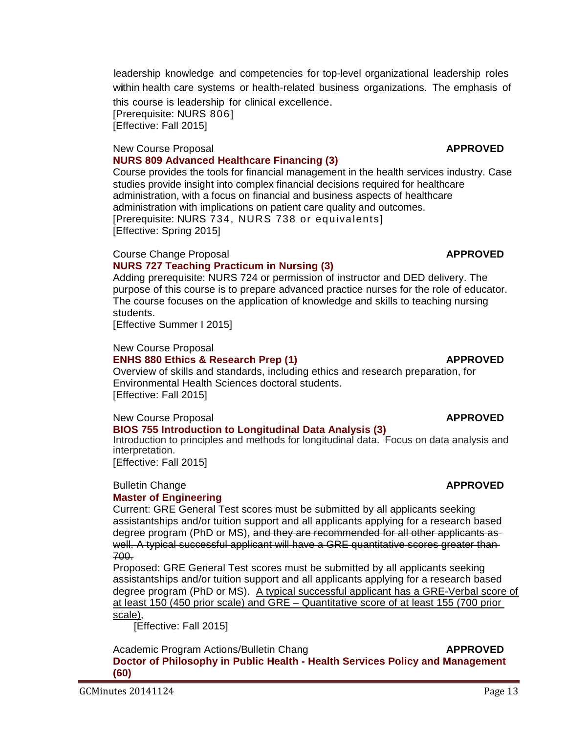leadership knowledge and competencies for top-level organizational leadership roles within health care systems or health-related business organizations. The emphasis of

this course is leadership for clinical excellence. [Prerequisite: NURS 806] [Effective: Fall 2015]

#### New Course Proposal **APPROVED [NURS 809 Advanced Healthcare Financing](http://gradschool.sc.edu/facstaff/gradcouncil/2014/NURS%20809%20NCP.pdf) (3)**

Course provides the tools for financial management in the health services industry. Case studies provide insight into complex financial decisions required for healthcare administration, with a focus on financial and business aspects of healthcare administration with implications on patient care quality and outcomes. [Prerequisite: NURS 734, NURS 738 or equivalents] [Effective: Spring 2015]

## **Course Change Proposal** *APPROVED*

## **[NURS 727 Teaching Practicum in Nursing](http://gradschool.sc.edu/facstaff/gradcouncil/2014/Nursing%20727%20CCP.pdf) (3)**

Adding prerequisite: NURS 724 or permission of instructor and DED delivery. The purpose of this course is to prepare advanced practice nurses for the role of educator. The course focuses on the application of knowledge and skills to teaching nursing students.

[Effective Summer I 2015]

## New Course Proposal

## **[ENHS 880 Ethics & Research Prep](http://gradschool.sc.edu/facstaff/gradcouncil/2014/ENHS%20880%20NCP1.pdf) (1) APPROVED**

Overview of skills and standards, including ethics and research preparation, for Environmental Health Sciences doctoral students. [Effective: Fall 2015]

# New Course Proposal **APPROVED**

# **[BIOS 755 Introduction to Longitudinal Data Analysis](http://gradschool.sc.edu/facstaff/gradcouncil/2014/BIOS%20755%20NCP1.pdf) (3)**

Introduction to principles and methods for longitudinal data. Focus on data analysis and interpretation.

[Effective: Fall 2015]

#### **Bulletin Change <b>APPROVED APPROVED [Master of Engineering](http://gradschool.sc.edu/facstaff/gradcouncil/2014/Master%20of%20Engineering%20ME%20BCH_Redacted1.pdf)**

Current: GRE General Test scores must be submitted by all applicants seeking assistantships and/or tuition support and all applicants applying for a research based degree program (PhD or MS), and they are recommended for all other applicants as well. A typical successful applicant will have a GRE quantitative scores greater than 700.

Proposed: GRE General Test scores must be submitted by all applicants seeking assistantships and/or tuition support and all applicants applying for a research based degree program (PhD or MS). A typical successful applicant has a GRE-Verbal score of at least 150 (450 prior scale) and GRE – Quantitative score of at least 155 (700 prior scale),

[Effective: Fall 2015]

Academic Program Actions/Bulletin Chang **APPROVED Doctor of Philosophy in Public Health - [Health Services Policy and Management](http://gradschool.sc.edu/facstaff/gradcouncil/2014/Doctor%20of%20Public%20Health%20HSPM%20APA_Redacted3.pdf) (60)**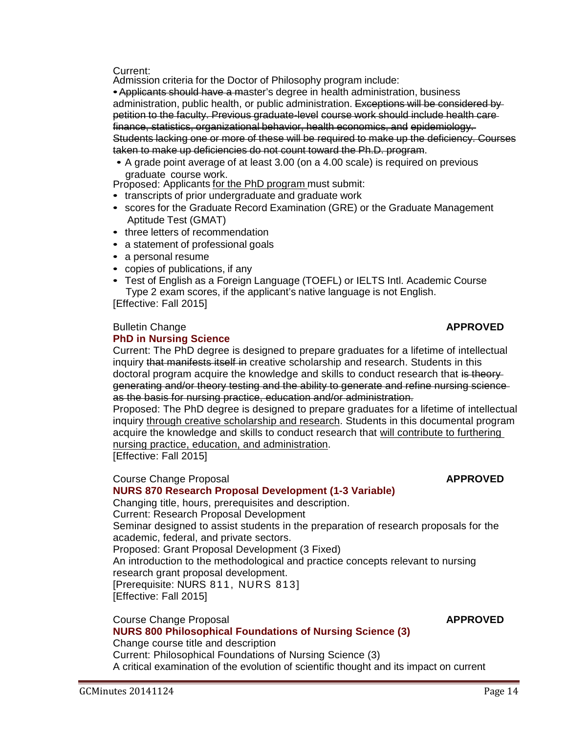Current:

Admission criteria for the Doctor of Philosophy program include:

• Applicants should have a master's degree in health administration, business administration, public health, or public administration. Exceptions will be considered by petition to the faculty. Previous graduate-level course work should include health care finance, statistics, organizational behavior, health economics, and epidemiology. Students lacking one or more of these will be required to make up the deficiency. Courses taken to make up deficiencies do not count toward the Ph.D. program.

• A grade point average of at least 3.00 (on a 4.00 scale) is required on previous graduate course work.<br>Proposed: Applicants for the PhD program must submit:

- transcripts of prior undergraduate and graduate work
- scores for the Graduate Record Examination (GRE) or the Graduate Management Aptitude Test (GMAT)
- three letters of recommendation
- a statement of professional goals
- a personal resume
- copies of publications, if any
- Test of English as a Foreign Language (TOEFL) or IELTS Intl. Academic Course Type 2 exam scores, if the applicant's native language is not English.

[Effective: Fall 2015]

#### Bulletin Change **APPROVED [PhD in Nursing Science](http://gradschool.sc.edu/facstaff/gradcouncil/2014/PhD%20in%20Nursing%20Science%20BCH_Redacted.pdf)**

## Current: The PhD degree is designed to prepare graduates for a lifetime of intellectual inquiry that manifests itself in creative scholarship and research. Students in this doctoral program acquire the knowledge and skills to conduct research that is theorygenerating and/or theory testing and the ability to generate and refine nursing science as the basis for nursing practice, education and/or administration.

Proposed: The PhD degree is designed to prepare graduates for a lifetime of intellectual inquiry through creative scholarship and research. Students in this documental program acquire the knowledge and skills to conduct research that will contribute to furthering nursing practice, education, and administration.

[Effective: Fall 2015]

# **Course Change Proposal** *APPROVED*

**[NURS 870 Research Proposal Development \(](http://gradschool.sc.edu/facstaff/gradcouncil/2014/NURS%20870%20CCP_Redacted.pdf)1-3 Variable)** Changing title, hours, prerequisites and description. Current: Research Proposal Development Seminar designed to assist students in the preparation of research proposals for the academic, federal, and private sectors. Proposed: Grant Proposal Development (3 Fixed) An introduction to the methodological and practice concepts relevant to nursing research grant proposal development. [Prerequisite: NURS 811, NURS 813] [Effective: Fall 2015]

**Course Change Proposal** *APPROVED* 

# **[NURS 800 Philosophical Foundations of Nursing Science \(](http://gradschool.sc.edu/facstaff/gradcouncil/2014/NURS%20800%20CCP_Redacted.pdf)3)**

Change course title and description Current: Philosophical Foundations of Nursing Science (3) A critical examination of the evolution of scientific thought and its impact on current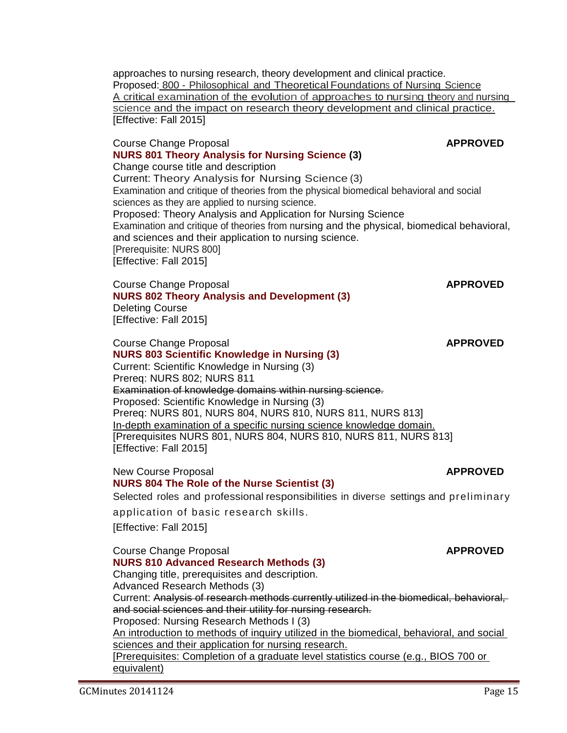approaches to nursing research, theory development and clinical practice. Proposed: 800 - Philosophical and Theoretical Foundations of Nursing Science <sup>A</sup> critical examination of the evolution of approaches to nursing theory and nursing science and the impact on research theory development and clinical practice. [Effective: Fall 2015]

## Course Change Proposal **APPROVED [NURS 801 Theory Analysis for Nursing Science \(](http://gradschool.sc.edu/facstaff/gradcouncil/2014/NURS%20801%20CCP_Redacted.pdf)3)** Change course title and description Current: Theory Analysis for Nursing Science (3) Examination and critique of theories from the physical biomedical behavioral and social sciences as they are applied to nursing science. Proposed: Theory Analysis and Application for Nursing Science Examination and critique of theories from nursing and the physical, biomedical behavioral, and sciences and their application to nursing science. [Prerequisite: NURS 800] [Effective: Fall 2015]

#### Course Change Proposal **APPROVED [NURS 802 Theory Analysis and Development \(](http://gradschool.sc.edu/facstaff/gradcouncil/2014/NURS%20802%20CCP_Redacted.pdf)3)** Deleting Course [Effective: Fall 2015]

### **Course Change Proposal** *APPROVED* **[NURS 803 Scientific Knowledge in Nursing \(](http://gradschool.sc.edu/facstaff/gradcouncil/2014/NURS%20803%20CCP_Redacted.pdf)3)** Current: Scientific Knowledge in Nursing (3) Prereq: NURS 802; NURS 811 Examination of knowledge domains within nursing science. Proposed: Scientific Knowledge in Nursing (3) Prereq: NURS 801, NURS 804, NURS 810, NURS 811, NURS 813] In-depth examination of a specific nursing science knowledge domain. [Prerequisites NURS 801, NURS 804, NURS 810, NURS 811, NURS 813] [Effective: Fall 2015]

New Course Proposal **APPROVED** 

**[NURS 804 The Role of the Nurse Scientist \(](http://gradschool.sc.edu/facstaff/gradcouncil/2014/NURS%20804%20NCP_Redacted.pdf)3)**

Selected roles and professional responsibilities in diverse settings and preliminary

application of basic research skills.

[Effective: Fall 2015]

**Course Change Proposal** *APPROVED* 

**[NURS 810 Advanced Research Methods \(](http://gradschool.sc.edu/facstaff/gradcouncil/2014/NURS%20810%20CCP_Redacted.pdf)3)** Changing title, prerequisites and description.

Advanced Research Methods (3)

Current: Analysis of research methods currently utilized in the biomedical, behavioral, and social sciences and their utility for nursing research. Proposed: Nursing Research Methods I (3)

An introduction to methods of inquiry utilized in the biomedical, behavioral, and social sciences and their application for nursing research.

[Prerequisites: Completion of a graduate level statistics course (e.g., BIOS 700 or equivalent)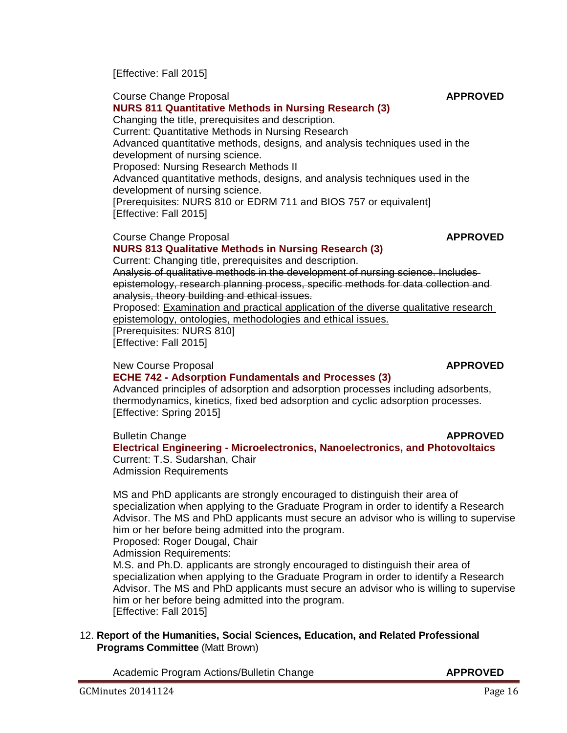Academic Program Actions/Bulletin Change **APPROVED**

GCMinutes 20141124 Page 16

**Course Change Proposal** *APPROVED* **[NURS 811 Quantitative Methods in Nursing Research \(](http://gradschool.sc.edu/facstaff/gradcouncil/2014/NURS%20811%20CCP%20BCH%20JUS%2011-3-14.pdf)3)** Changing the title, prerequisites and description. Current: Quantitative Methods in Nursing Research Advanced quantitative methods, designs, and analysis techniques used in the development of nursing science. Advanced quantitative methods, designs, and analysis techniques used in the

Proposed: Nursing Research Methods II development of nursing science. [Prerequisites: NURS 810 or EDRM 711 and BIOS 757 or equivalent] [Effective: Fall 2015]

### Course Change Proposal **APPROVED [NURS 813 Qualitative Methods in Nursing Research \(](http://gradschool.sc.edu/facstaff/gradcouncil/2014/NURS%20813%20CCP_Redacted.pdf)3)**

Current: Changing title, prerequisites and description. Analysis of qualitative methods in the development of nursing science. Includes epistemology, research planning process, specific methods for data collection and analysis, theory building and ethical issues.

Proposed: Examination and practical application of the diverse qualitative research epistemology, ontologies, methodologies and ethical issues.

[Prerequisites: NURS 810] [Effective: Fall 2015]

# New Course Proposal **APPROVED**

[Effective: Fall 2015]

# **ECHE 742 - [Adsorption Fundamentals and Processes](http://gradschool.sc.edu/facstaff/gradcouncil/2014/ECHE%20742%20NCP_Redacted2.pdf) (3)**

Advanced principles of adsorption and adsorption processes including adsorbents, thermodynamics, kinetics, fixed bed adsorption and cyclic adsorption processes. [Effective: Spring 2015]

**Bulletin Change <b>APPROVED APPROVED Electrical Engineering - [Microelectronics, Nanoelectronics, and Photovoltaics](http://gradschool.sc.edu/facstaff/gradcouncil/2014/Electrical%20Engineering%20BCH%209262014_Redacted.pdf)**  Current: T.S. Sudarshan, Chair Admission Requirements

MS and PhD applicants are strongly encouraged to distinguish their area of specialization when applying to the Graduate Program in order to identify a Research Advisor. The MS and PhD applicants must secure an advisor who is willing to supervise him or her before being admitted into the program.

Proposed: Roger Dougal, Chair

Admission Requirements:

M.S. and Ph.D. applicants are strongly encouraged to distinguish their area of specialization when applying to the Graduate Program in order to identify a Research Advisor. The MS and PhD applicants must secure an advisor who is willing to supervise him or her before being admitted into the program. [Effective: Fall 2015]

# 12. **Report of the Humanities, Social Sciences, Education, and Related Professional Programs Committee** (Matt Brown)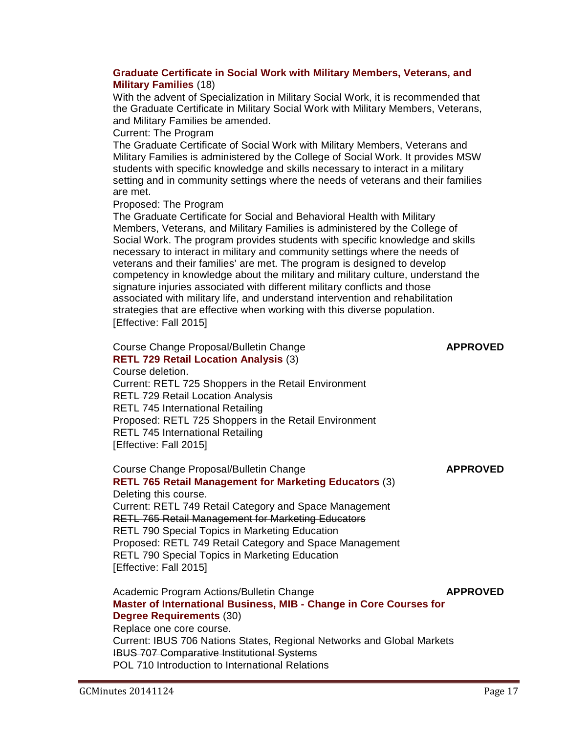### **[Graduate Certificate in Social Work with Military Members, Veterans, and](http://gradschool.sc.edu/facstaff/gradcouncil/2014/SWw-militarymemsAPA_Redacted1.pdf)  [Military Families](http://gradschool.sc.edu/facstaff/gradcouncil/2014/SWw-militarymemsAPA_Redacted1.pdf)** (18)

With the advent of Specialization in Military Social Work, it is recommended that the Graduate Certificate in Military Social Work with Military Members, Veterans, and Military Families be amended.

Current: The Program

The Graduate Certificate of Social Work with Military Members, Veterans and Military Families is administered by the College of Social Work. It provides MSW students with specific knowledge and skills necessary to interact in a military setting and in community settings where the needs of veterans and their families are met.

Proposed: The Program

The Graduate Certificate for Social and Behavioral Health with Military Members, Veterans, and Military Families is administered by the College of Social Work. The program provides students with specific knowledge and skills necessary to interact in military and community settings where the needs of veterans and their families' are met. The program is designed to develop competency in knowledge about the military and military culture, understand the signature injuries associated with different military conflicts and those associated with military life, and understand intervention and rehabilitation strategies that are effective when working with this diverse population. [Effective: Fall 2015]

Course Change Proposal/Bulletin Change **APPROVED [RETL 729 Retail Location Analysis](http://gradschool.sc.edu/facstaff/gradcouncil/2014/RETL%20729%20ccp_Redacted.pdf)** (3) Course deletion. Current: RETL 725 Shoppers in the Retail Environment RETL 729 Retail Location Analysis RETL 745 International Retailing Proposed: RETL 725 Shoppers in the Retail Environment RETL 745 International Retailing [Effective: Fall 2015]

Course Change Proposal/Bulletin Change **APPROVED [RETL 765 Retail Management for Marketing Educators](http://gradschool.sc.edu/facstaff/gradcouncil/2014/RETL%20765%20CCP_Redacted.pdf)** (3) Deleting this course. Current: RETL 749 Retail Category and Space Management RETL 765 Retail Management for Marketing Educators RETL 790 Special Topics in Marketing Education Proposed: RETL 749 Retail Category and Space Management RETL 790 Special Topics in Marketing Education [Effective: Fall 2015]

Academic Program Actions/Bulletin Change **APPROVED [Master of International Business, MIB -](http://gradschool.sc.edu/facstaff/gradcouncil/2014/Master%20of%20Internl%20Biz%20APA.pdf) Change in Core Courses for [Degree Requirements](http://gradschool.sc.edu/facstaff/gradcouncil/2014/Master%20of%20Internl%20Biz%20APA.pdf)** (30) Replace one core course. Current: IBUS 706 Nations States, Regional Networks and Global Markets IBUS 707 Comparative Institutional Systems POL 710 Introduction to International Relations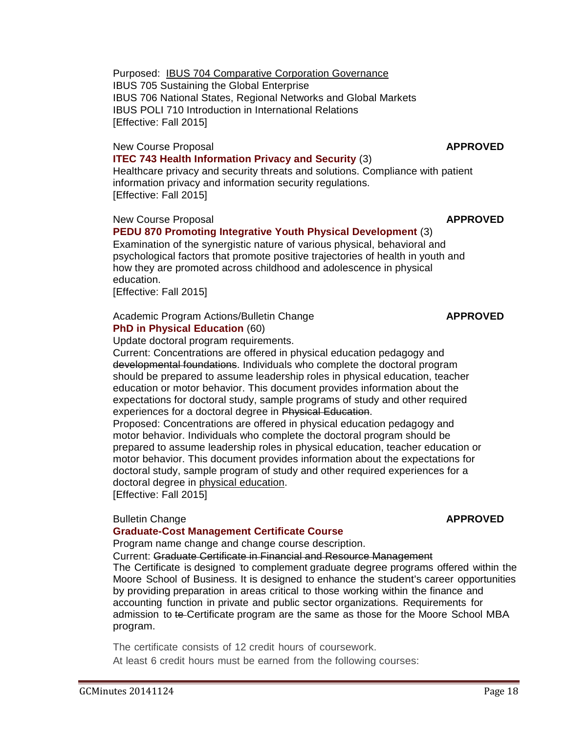Purposed: IBUS 704 Comparative Corporation Governance IBUS 705 Sustaining the Global Enterprise IBUS 706 National States, Regional Networks and Global Markets IBUS POLI 710 Introduction in International Relations [Effective: Fall 2015]

# New Course Proposal **APPROVED**

## **[ITEC 743 Health Information Privacy and Security](http://gradschool.sc.edu/facstaff/gradcouncil/2014/ITEC%20743%20NCP_Redacted2.pdf)** (3)

Healthcare privacy and security threats and solutions. Compliance with patient information privacy and information security regulations. [Effective: Fall 2015]

### New Course Proposal **APPROVED**

# **[PEDU 870 Promoting Integrative Youth Physical Development](http://gradschool.sc.edu/facstaff/gradcouncil/2014/PEDU%20870%20-%20NCP_Redacted.pdf)** (3)

Examination of the synergistic nature of various physical, behavioral and psychological factors that promote positive trajectories of health in youth and how they are promoted across childhood and adolescence in physical education.

[Effective: Fall 2015]

# Academic Program Actions/Bulletin Change **APPROVED [PhD in Physical Education](http://gradschool.sc.edu/facstaff/gradcouncil/2014/Physical%20Education%20PE%20-%20APA_Redacted.pdf)** (60)

Update doctoral program requirements.

Current: Concentrations are offered in physical education pedagogy and developmental foundations. Individuals who complete the doctoral program should be prepared to assume leadership roles in physical education, teacher education or motor behavior. This document provides information about the expectations for doctoral study, sample programs of study and other required experiences for a doctoral degree in Physical Education.

Proposed: Concentrations are offered in physical education pedagogy and motor behavior. Individuals who complete the doctoral program should be prepared to assume leadership roles in physical education, teacher education or motor behavior. This document provides information about the expectations for doctoral study, sample program of study and other required experiences for a doctoral degree in physical education.

[Effective: Fall 2015]

### **Bulletin Change APPROVED**

# **[Graduate-Cost Management Certificate Course](http://gradschool.sc.edu/facstaff/gradcouncil/2014/Graduate%20Certificate%20in%20Financial%20and%20Resource%20Management%20BCH_Redacted.pdf)**

Program name change and change course description.

Current: Graduate Certificate in Financial and Resource Management

The Certificate is designed 'to complement graduate degree programs offered within the Moore School of Business. It is designed to enhance the student's career opportunities by providing preparation in areas critical to those working within the finance and accounting function in private and public sector organizations. Requirements for admission to te-Certificate program are the same as those for the Moore School MBA program.

The certificate consists of 12 credit hours of coursework. At least 6 credit hours must be earned from the following courses: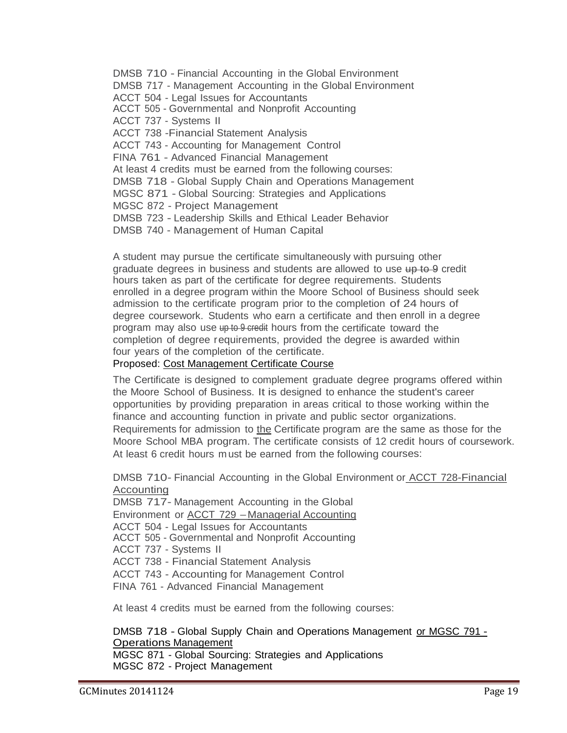DMSB 710 - Financial Accounting in the Global Environment DMSB 717 - Management Accounting in the Global Environment ACCT 504 - Legal Issues for Accountants ACCT 505 - Governmental and Nonprofit Accounting ACCT 737 - Systems II ACCT 738 -Financial Statement Analysis ACCT 743 - Accounting for Management Control FINA 761 - Advanced Financial Management At least 4 credits must be earned from the following courses: DMSB 718 - Global Supply Chain and Operations Management MGSC 871 - Global Sourcing: Strategies and Applications MGSC 872 - Project Management DMSB 723 - Leadership Skills and Ethical Leader Behavior DMSB 740 - Management of Human Capital

A student may pursue the certificate simultaneously with pursuing other graduate degrees in business and students are allowed to use up to 9 credit hours taken as part of the certificate for degree requirements. Students enrolled in a degree program within the Moore School of Business should seek admission to the certificate program prior to the completion of 24 hours of degree coursework. Students who earn a certificate and then enroll in a degree program may also use up to 9 credit hours from the certificate toward the completion of degree requirements, provided the degree is awarded within four years of the completion of the certificate.

## Proposed: Cost Management Certificate Course

The Certificate is designed to complement graduate degree programs offered within the Moore School of Business. It is designed to enhance the student's career opportunities by providing preparation in areas critical to those working within the finance and accounting function in private and public sector organizations. Requirements for admission to the Certificate program are the same as those for the Moore School MBA program. The certificate consists of 12 credit hours of coursework. At least 6 credit hours m ust be earned from the following courses:

DMSB 710- Financial Accounting in the Global Environment or **ACCT 728-Financial** Accounting

DMSB 717- Management Accounting in the Global Environment or **ACCT 729 - Managerial Accounting** ACCT 504 - Legal Issues for Accountants ACCT 505 - Governmental and Nonprofit Accounting ACCT 737 - Systems II ACCT 738 - Financial Statement Analysis ACCT 743 - Accounting for Management Control FINA 761 - Advanced Financial Management

At least 4 credits must be earned from the following courses:

DMSB 718 - Global Supply Chain and Operations Management or MGSC 791 - Operations Management

MGSC 871 - Global Sourcing: Strategies and Applications MGSC 872 - Project Management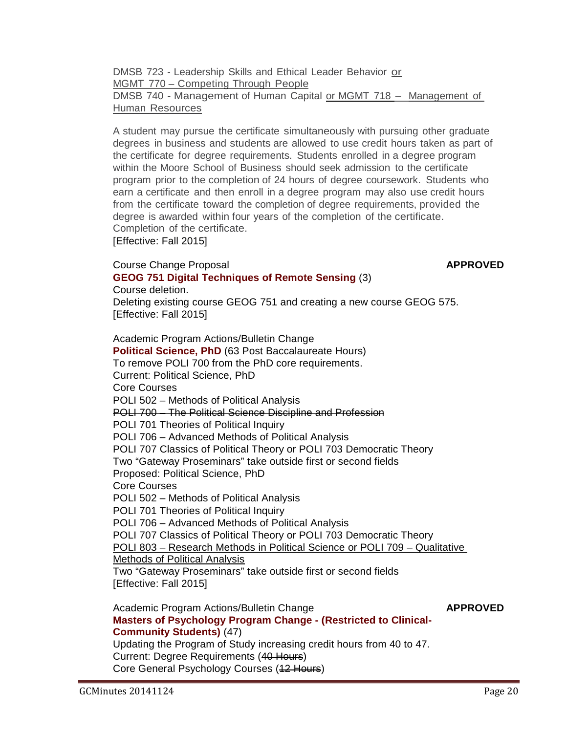DMSB 723 - Leadership Skills and Ethical Leader Behavior or MGMT 770 – Competing Through People DMSB 740 - Management of Human Capital or MGMT 718 - Management of Human Resources

A student may pursue the certificate simultaneously with pursuing other graduate degrees in business and students are allowed to use credit hours taken as part of the certificate for degree requirements. Students enrolled in a degree program within the Moore School of Business should seek admission to the certificate program prior to the completion of 24 hours of degree coursework. Students who earn a certificate and then enroll in a degree program may also use credit hours from the certificate toward the completion of degree requirements, provided the degree is awarded within four years of the completion of the certificate. Completion of the certificate.

[Effective: Fall 2015]

## **Course Change Proposal** *APPROVED* **[GEOG 751 Digital Techniques of Remote Sensing](http://gradschool.sc.edu/facstaff/gradcouncil/2014/GEOG%20751%20CCP_Redacted.pdf)** (3)

Course deletion.

Deleting existing course GEOG 751 and creating a new course GEOG 575. [Effective: Fall 2015]

Academic Program Actions/Bulletin Change **Political Science, PhD** [\(63 Post Baccalaureate Hours\)](http://gradschool.sc.edu/facstaff/gradcouncil/2014/Political%20Science%20PhD%20APA_Redacted.pdf)  [To remove POLI 700 from the PhD core requirements.](http://gradschool.sc.edu/facstaff/gradcouncil/2014/Political%20Science%20PhD%20APA_Redacted.pdf) Current: Political Science, PhD Core Courses POLI 502 – Methods of Political Analysis POLI 700 – The Political Science Discipline and Profession POLI 701 Theories of Political Inquiry POLI 706 – Advanced Methods of Political Analysis POLI 707 Classics of Political Theory or POLI 703 Democratic Theory Two "Gateway Proseminars" take outside first or second fields Proposed: Political Science, PhD Core Courses POLI 502 – Methods of Political Analysis POLI 701 Theories of Political Inquiry POLI 706 – Advanced Methods of Political Analysis POLI 707 Classics of Political Theory or POLI 703 Democratic Theory POLI 803 – Research Methods in Political Science or POLI 709 – Qualitative Methods of Political Analysis Two "Gateway Proseminars" take outside first or second fields [Effective: Fall 2015] Academic Program Actions/Bulletin Change **APPROVED**

**[Masters of Psychology Program Change -](http://gradschool.sc.edu/facstaff/gradcouncil/2014/Masters%20of%20Psychology%20Program%20Change_Redacted1.pdf) (Restricted to Clinical-[Community Students\)](http://gradschool.sc.edu/facstaff/gradcouncil/2014/Masters%20of%20Psychology%20Program%20Change_Redacted1.pdf)** (47) Updating the Program of Study increasing credit hours from 40 to 47.

Current: Degree Requirements (40 Hours) Core General Psychology Courses (12 Hours)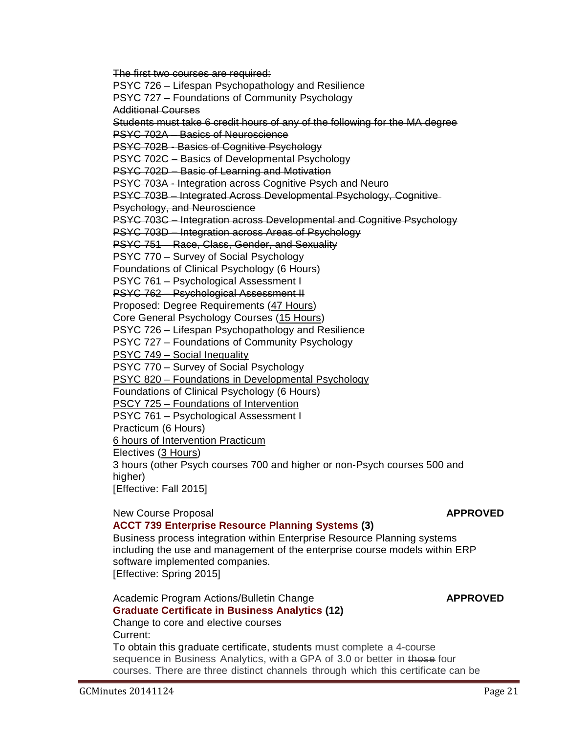**[Graduate Certificate in Business Analytics \(](http://gradschool.sc.edu/facstaff/gradcouncil/2014/Graduate%20Certificate%20in%20Business%20Analytics%20APA_Redacted3.pdf)12)** Change to core and elective courses Current:

To obtain this graduate certificate, students must complete a 4-course sequence in Business Analytics, with a GPA of 3.0 or better in those four courses. There are three distinct channels through which this certificate can be

Academic Program Actions/Bulletin Change **APPROVED**

### GCMinutes 20141124 Page 21

# Business process integration within Enterprise Resource Planning systems including the use and management of the enterprise course models within ERP

higher) [Effective: Fall 2015] New Course Proposal **APPROVED [ACCT 739 Enterprise Resource Planning Systems \(](http://gradschool.sc.edu/facstaff/gradcouncil/2014/ACCT%20739%20NCP_Redacted2pdf.pdf)3)**

# PSYC 703A - Integration across Cognitive Psych and Neuro PSYC 703B – Integrated Across Developmental Psychology, Cognitive Psychology, and Neuroscience

PSYC 703C – Integration across Developmental and Cognitive Psychology

Students must take 6 credit hours of any of the following for the MA degree

PSYC 703D – Integration across Areas of Psychology

PSYC 726 – Lifespan Psychopathology and Resilience PSYC 727 – Foundations of Community Psychology

PSYC 751 – Race, Class, Gender, and Sexuality

PSYC 770 – Survey of Social Psychology

The first two courses are required:

PSYC 702A – Basics of Neuroscience

PSYC 702B - Basics of Cognitive Psychology PSYC 702C – Basics of Developmental Psychology PSYC 702D – Basic of Learning and Motivation

Additional Courses

Foundations of Clinical Psychology (6 Hours)

PSYC 761 – Psychological Assessment I

PSYC 762 – Psychological Assessment II

Proposed: Degree Requirements (47 Hours)

Core General Psychology Courses (15 Hours)

PSYC 726 – Lifespan Psychopathology and Resilience

PSYC 727 – Foundations of Community Psychology

PSYC 749 – Social Inequality

PSYC 770 – Survey of Social Psychology

PSYC 820 – Foundations in Developmental Psychology

Foundations of Clinical Psychology (6 Hours)

PSCY 725 – Foundations of Intervention

PSYC 761 – Psychological Assessment I

Practicum (6 Hours)

6 hours of Intervention Practicum

software implemented companies.

[Effective: Spring 2015]

Electives (3 Hours)

3 hours (other Psych courses 700 and higher or non-Psych courses 500 and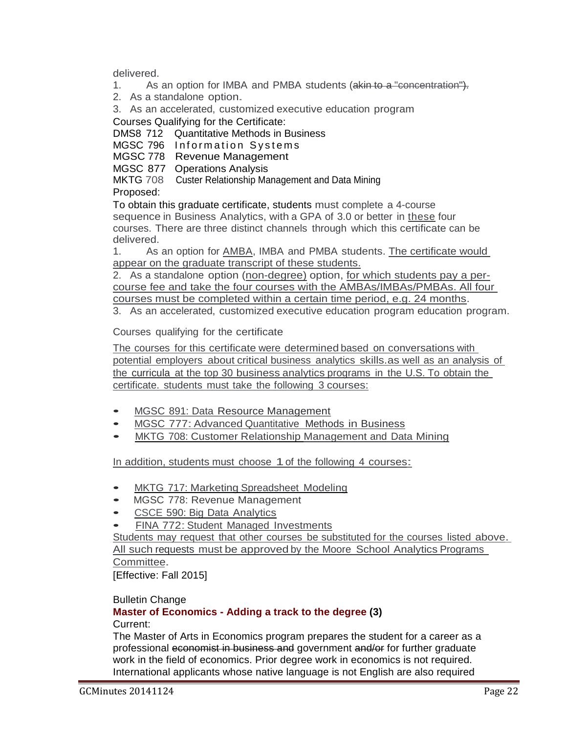delivered.

- 1. As an option for IMBA and PMBA students (a kin to a "concentration").
- 2. As <sup>a</sup> standalone option.
- 3. As an accelerated, customized executive education program

Courses Qualifying for the Certificate:

DMS8 712 Quantitative Methods in Business

MGSC 796 Information Systems

MGSC 778 Revenue Management

MGSC 877 Operations Analysis

MKTG 708 Custer Relationship Management and Data Mining

Proposed:

To obtain this graduate certificate, students must complete a 4-course sequence in Business Analytics, with a GPA of 3.0 or better in these four courses. There are three distinct channels through which this certificate can be delivered.

1. As an option for AMBA, IMBA and PMBA students. The certificate would appear on the graduate transcript of these students.

2. As a standalone option (non-degree) option, for which students pay a percourse fee and take the four courses with the AMBAs/IMBAs/PMBAs. All four courses must be completed within a certain time period, e.g. 24 months.

3. As an accelerated, customized executive education program education program.

Courses qualifying for the certificate

The courses for this certificate were determined based on conversations with potential employers about critical business analytics skills.as well as an analysis of the curricula at the top 30 business analytics programs in the U.S. To obtain the certificate. students must take the following 3 courses:

- MGSC 891: Data Resource Management
- MGSC 777: Advanced Quantitative Methods in Business
- MKTG 708: Customer Relationship Management and Data Mining

In addition, students must choose 1 of the following 4 courses:

- MKTG 717: Marketing Spreadsheet Modeling<br>• MGSC 778: Revenue Management
- MGSC 778: Revenue Management<br>• CSCE 590: Big Data Analytics
- CSCE 590: Big Data Analytics
- **FINA 772: Student Managed Investments**

Students may request that other courses be substituted for the courses listed above. All such requests must be approved by the Moore School Analytics Programs Committee.

[Effective: Fall 2015]

# Bulletin Change

#### **Master of Economics - [Adding a track to the degree \(](http://gradschool.sc.edu/facstaff/gradcouncil/2014/Master%20of%20Economics-Add%20a%20track%20to%20Degree%20APA_Redacted1.pdf)3)** Current:

The Master of Arts in Economics program prepares the student for a career as a professional economist in business and government and/or for further graduate work in the field of economics. Prior degree work in economics is not required. International applicants whose native language is not English are also required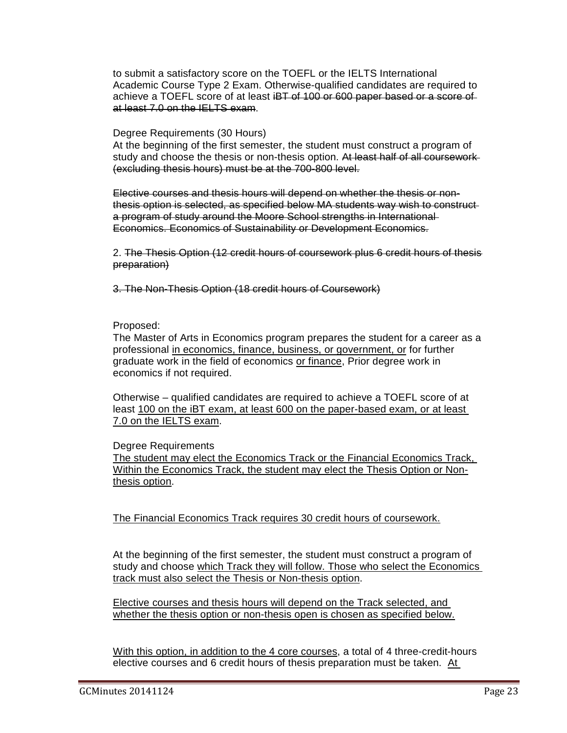to submit a satisfactory score on the TOEFL or the IELTS International Academic Course Type 2 Exam. Otherwise-qualified candidates are required to achieve a TOEFL score of at least iBT of 100 or 600 paper based or a score of at least 7.0 on the IELTS exam.

## Degree Requirements (30 Hours)

At the beginning of the first semester, the student must construct a program of study and choose the thesis or non-thesis option. At least half of all coursework-(excluding thesis hours) must be at the 700-800 level.

Elective courses and thesis hours will depend on whether the thesis or nonthesis option is selected, as specified below MA students way wish to construct a program of study around the Moore School strengths in International Economics. Economics of Sustainability or Development Economics.

2. The Thesis Option (12 credit hours of coursework plus 6 credit hours of thesis preparation)

3. The Non-Thesis Option (18 credit hours of Coursework)

## Proposed:

The Master of Arts in Economics program prepares the student for a career as a professional in economics, finance, business, or government, or for further graduate work in the field of economics or finance, Prior degree work in economics if not required.

Otherwise – qualified candidates are required to achieve a TOEFL score of at least 100 on the iBT exam, at least 600 on the paper-based exam, or at least 7.0 on the IELTS exam.

# Degree Requirements

The student may elect the Economics Track or the Financial Economics Track, Within the Economics Track, the student may elect the Thesis Option or Nonthesis option.

The Financial Economics Track requires 30 credit hours of coursework.

At the beginning of the first semester, the student must construct a program of study and choose which Track they will follow. Those who select the Economics track must also select the Thesis or Non-thesis option.

Elective courses and thesis hours will depend on the Track selected, and whether the thesis option or non-thesis open is chosen as specified below.

With this option, in addition to the 4 core courses, a total of 4 three-credit-hours elective courses and 6 credit hours of thesis preparation must be taken. At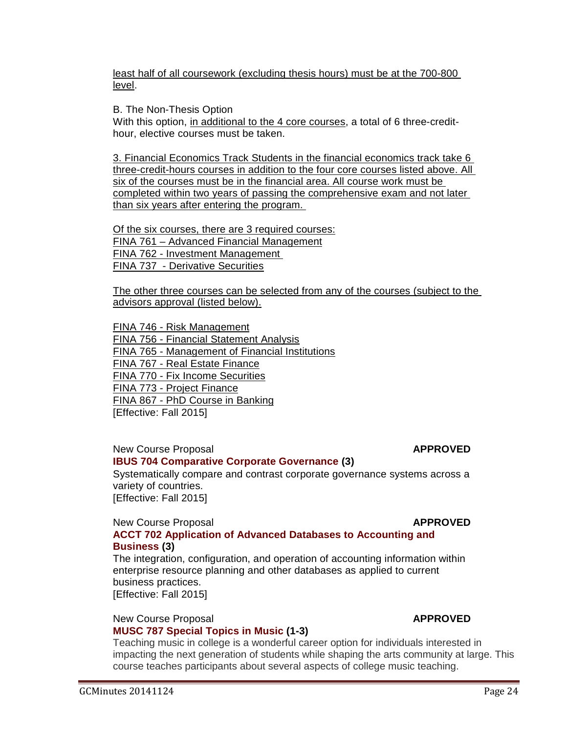least half of all coursework (excluding thesis hours) must be at the 700-800 level.

B. The Non-Thesis Option

With this option, in additional to the 4 core courses, a total of 6 three-credithour, elective courses must be taken.

3. Financial Economics Track Students in the financial economics track take 6 three-credit-hours courses in addition to the four core courses listed above. All six of the courses must be in the financial area. All course work must be completed within two years of passing the comprehensive exam and not later than six years after entering the program.

Of the six courses, there are 3 required courses: FINA 761 – Advanced Financial Management FINA 762 - Investment Management FINA 737 - Derivative Securities

The other three courses can be selected from any of the courses (subject to the advisors approval (listed below).

FINA 746 - Risk Management

FINA 756 - Financial Statement Analysis FINA 765 - Management of Financial Institutions FINA 767 - Real Estate Finance FINA 770 - Fix Income Securities FINA 773 - Project Finance FINA 867 - PhD Course in Banking [Effective: Fall 2015]

New Course Proposal **APPROVED [IBUS 704 Comparative Corporate Governance \(](http://gradschool.sc.edu/facstaff/gradcouncil/2014/IBUS%20704%20NCP_Redacted1.pdf)3)**

Systematically compare and contrast corporate governance systems across a variety of countries. [Effective: Fall 2015]

#### New Course Proposal **APPROVED [ACCT 702 Application of Advanced Databases to Accounting and](http://gradschool.sc.edu/facstaff/gradcouncil/2014/ACCT%20702%20NCP_Redacted2.pdf)  [Business \(](http://gradschool.sc.edu/facstaff/gradcouncil/2014/ACCT%20702%20NCP_Redacted2.pdf)3)**

The integration, configuration, and operation of accounting information within enterprise resource planning and other databases as applied to current business practices. [Effective: Fall 2015]

### New Course Proposal **APPROVED [MUSC 787 Special Topics in Music \(](http://gradschool.sc.edu/facstaff/gradcouncil/2014/MUSC%20787%20NCP_Redacted1.pdf)1-3)**

Teaching music in college is a wonderful career option for individuals interested in impacting the next generation of students while shaping the arts community at large. This course teaches participants about several aspects of college music teaching.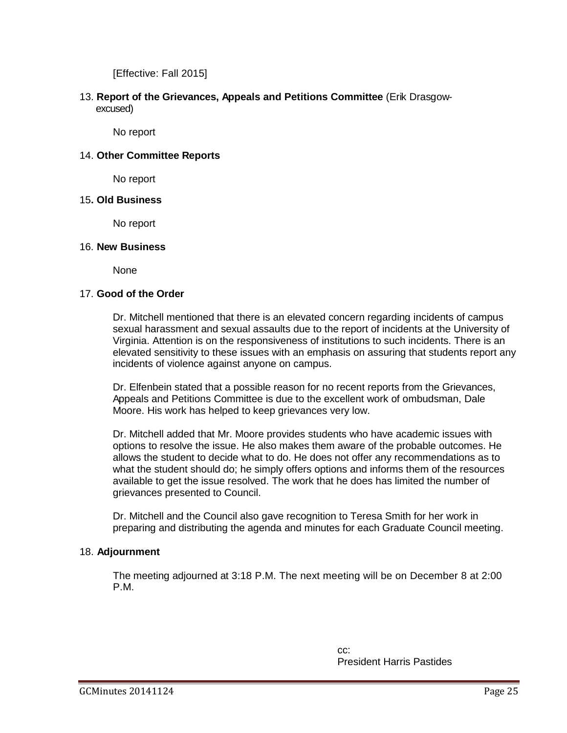[Effective: Fall 2015]

13. **Report of the Grievances, Appeals and Petitions Committee** (Erik Drasgow excused)

No report

### 14. **Other Committee Reports**

No report

### 15**. Old Business**

No report

### 16. **New Business**

None

### 17. **Good of the Order**

Dr. Mitchell mentioned that there is an elevated concern regarding incidents of campus sexual harassment and sexual assaults due to the report of incidents at the University of Virginia. Attention is on the responsiveness of institutions to such incidents. There is an elevated sensitivity to these issues with an emphasis on assuring that students report any incidents of violence against anyone on campus.

Dr. Elfenbein stated that a possible reason for no recent reports from the Grievances, Appeals and Petitions Committee is due to the excellent work of ombudsman, Dale Moore. His work has helped to keep grievances very low.

Dr. Mitchell added that Mr. Moore provides students who have academic issues with options to resolve the issue. He also makes them aware of the probable outcomes. He allows the student to decide what to do. He does not offer any recommendations as to what the student should do; he simply offers options and informs them of the resources available to get the issue resolved. The work that he does has limited the number of grievances presented to Council.

Dr. Mitchell and the Council also gave recognition to Teresa Smith for her work in preparing and distributing the agenda and minutes for each Graduate Council meeting.

### 18. **Adjournment**

The meeting adjourned at 3:18 P.M. The next meeting will be on December 8 at 2:00 P.M.